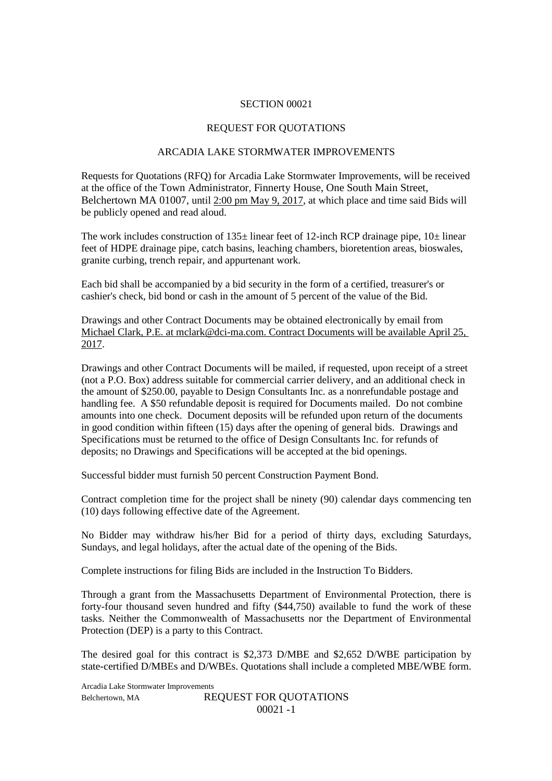#### SECTION 00021

#### REQUEST FOR QUOTATIONS

## ARCADIA LAKE STORMWATER IMPROVEMENTS

Requests for Quotations (RFQ) for Arcadia Lake Stormwater Improvements, will be received at the office of the Town Administrator, Finnerty House, One South Main Street, Belchertown MA 01007, until 2:00 pm May 9, 2017, at which place and time said Bids will be publicly opened and read aloud.

The work includes construction of  $135\pm$  linear feet of 12-inch RCP drainage pipe,  $10\pm$  linear feet of HDPE drainage pipe, catch basins, leaching chambers, bioretention areas, bioswales, granite curbing, trench repair, and appurtenant work.

Each bid shall be accompanied by a bid security in the form of a certified, treasurer's or cashier's check, bid bond or cash in the amount of 5 percent of the value of the Bid.

Drawings and other Contract Documents may be obtained electronically by email from Michael Clark, P.E. at mclark@dci-ma.com. Contract Documents will be available April 25, 2017.

Drawings and other Contract Documents will be mailed, if requested, upon receipt of a street (not a P.O. Box) address suitable for commercial carrier delivery, and an additional check in the amount of \$250.00, payable to Design Consultants Inc. as a nonrefundable postage and handling fee. A \$50 refundable deposit is required for Documents mailed. Do not combine amounts into one check. Document deposits will be refunded upon return of the documents in good condition within fifteen (15) days after the opening of general bids. Drawings and Specifications must be returned to the office of Design Consultants Inc. for refunds of deposits; no Drawings and Specifications will be accepted at the bid openings.

Successful bidder must furnish 50 percent Construction Payment Bond.

Contract completion time for the project shall be ninety (90) calendar days commencing ten (10) days following effective date of the Agreement.

No Bidder may withdraw his/her Bid for a period of thirty days, excluding Saturdays, Sundays, and legal holidays, after the actual date of the opening of the Bids.

Complete instructions for filing Bids are included in the Instruction To Bidders.

Through a grant from the Massachusetts Department of Environmental Protection, there is forty-four thousand seven hundred and fifty (\$44,750) available to fund the work of these tasks. Neither the Commonwealth of Massachusetts nor the Department of Environmental Protection (DEP) is a party to this Contract.

The desired goal for this contract is \$2,373 D/MBE and \$2,652 D/WBE participation by state-certified D/MBEs and D/WBEs. Quotations shall include a completed MBE/WBE form.

Arcadia Lake Stormwater Improvements Belchertown, MA REQUEST FOR OUOTATIONS